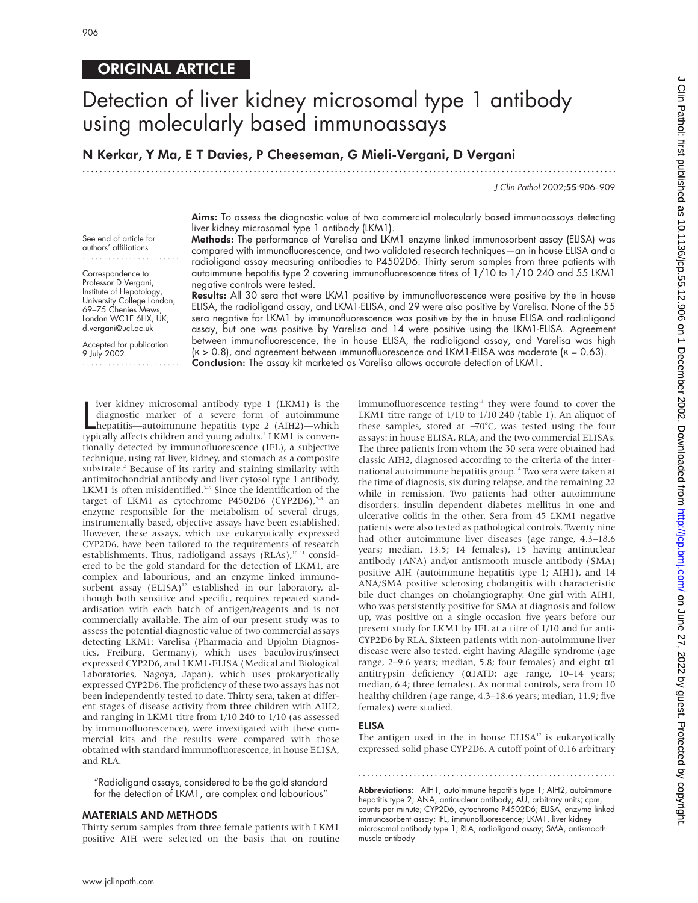# ORIGINAL ARTICLE

# Detection of liver kidney microsomal type 1 antibody using molecularly based immunoassays

N Kerkar, Y Ma, E T Davies, P Cheeseman, G Mieli-Vergani, D Vergani

.............................................................................................................................

J Clin Pathol 2002;55:906–909

Aims: To assess the diagnostic value of two commercial molecularly based immunoassays detecting liver kidney microsomal type 1 antibody (LKM1).

See end of article for authors' affiliations .......................

Correspondence to: Professor D Vergani, Institute of Hepatology, University College London, 69–75 Chenies Mews, London WC1E 6HX, UK; d.vergani@ucl.ac.uk

Accepted for publication 9 July 2002 ....................... Methods: The performance of Varelisa and LKM1 enzyme linked immunosorbent assay (ELISA) was compared with immunofluorescence, and two validated research techniques—an in house ELISA and a radioligand assay measuring antibodies to P4502D6. Thirty serum samples from three patients with autoimmune hepatitis type 2 covering immunofluorescence titres of 1/10 to 1/10 240 and 55 LKM1 negative controls were tested.

Results: All 30 sera that were LKM1 positive by immunofluorescence were positive by the in house ELISA, the radioligand assay, and LKM1-ELISA, and 29 were also positive by Varelisa. None of the 55 sera negative for LKM1 by immunofluorescence was positive by the in house ELISA and radioligand assay, but one was positive by Varelisa and 14 were positive using the LKM1-ELISA. Agreement between immunofluorescence, the in house ELISA, the radioligand assay, and Varelisa was high  $(k > 0.8)$ , and agreement between immunofluorescence and LKM1-ELISA was moderate  $(k = 0.63)$ . Conclusion: The assay kit marketed as Varelisa allows accurate detection of LKM1.

I like the use of a severe form of autoimmune<br>diagnostic marker of a severe form of autoimmune<br>hepatitis—autoimmune hepatitis type 2 (AIH2)—which<br>typically affects children and young adults.<sup>1</sup> LKM1 is conveniver kidney microsomal antibody type 1 (LKM1) is the diagnostic marker of a severe form of autoimmune hepatitis—autoimmune hepatitis type 2 (AIH2)—which tionally detected by immunofluorescence (IFL), a subjective technique, using rat liver, kidney, and stomach as a composite substrate.<sup>2</sup> Because of its rarity and staining similarity with antimitochondrial antibody and liver cytosol type 1 antibody, LKM1 is often misidentified.<sup>3-6</sup> Since the identification of the target of LKM1 as cytochrome P4502D6 (CYP2D6), $7-9$  an enzyme responsible for the metabolism of several drugs, instrumentally based, objective assays have been established. However, these assays, which use eukaryotically expressed CYP2D6, have been tailored to the requirements of research establishments. Thus, radioligand assays (RLAs),<sup>10 11</sup> considered to be the gold standard for the detection of LKM1, are complex and labourious, and an enzyme linked immunosorbent assay (ELISA)<sup>12</sup> established in our laboratory, although both sensitive and specific, requires repeated standardisation with each batch of antigen/reagents and is not commercially available. The aim of our present study was to assess the potential diagnostic value of two commercial assays detecting LKM1: Varelisa (Pharmacia and Upjohn Diagnostics, Freiburg, Germany), which uses baculovirus/insect expressed CYP2D6, and LKM1-ELISA (Medical and Biological Laboratories, Nagoya, Japan), which uses prokaryotically expressed CYP2D6. The proficiency of these two assays has not been independently tested to date. Thirty sera, taken at different stages of disease activity from three children with AIH2, and ranging in LKM1 titre from 1/10 240 to 1/10 (as assessed by immunofluorescence), were investigated with these commercial kits and the results were compared with those obtained with standard immunofluorescence, in house ELISA, and RLA.

"Radioligand assays, considered to be the gold standard for the detection of LKM1, are complex and labourious"

# MATERIALS AND METHODS

Thirty serum samples from three female patients with LKM1 positive AIH were selected on the basis that on routine immunofluorescence testing<sup>13</sup> they were found to cover the LKM1 titre range of 1/10 to 1/10 240 (table 1). An aliquot of these samples, stored at −70°C, was tested using the four assays: in house ELISA, RLA, and the two commercial ELISAs. The three patients from whom the 30 sera were obtained had classic AIH2, diagnosed according to the criteria of the international autoimmune hepatitis group.<sup>14</sup> Two sera were taken at the time of diagnosis, six during relapse, and the remaining 22 while in remission. Two patients had other autoimmune disorders: insulin dependent diabetes mellitus in one and ulcerative colitis in the other. Sera from 45 LKM1 negative patients were also tested as pathological controls. Twenty nine had other autoimmune liver diseases (age range, 4.3–18.6 years; median, 13.5; 14 females), 15 having antinuclear antibody (ANA) and/or antismooth muscle antibody (SMA) positive AIH (autoimmune hepatitis type 1; AIH1), and 14 ANA/SMA positive sclerosing cholangitis with characteristic bile duct changes on cholangiography. One girl with AIH1, who was persistently positive for SMA at diagnosis and follow up, was positive on a single occasion five years before our present study for LKM1 by IFL at a titre of 1/10 and for anti-CYP2D6 by RLA. Sixteen patients with non-autoimmune liver disease were also tested, eight having Alagille syndrome (age range,  $2-9.6$  years; median, 5.8; four females) and eight αl antitrypsin deficiency (α1ATD; age range, 10–14 years; median, 6.4; three females). As normal controls, sera from 10 healthy children (age range, 4.3–18.6 years; median, 11.9; five females) were studied.

#### ELISA

The antigen used in the in house  $ELISA^{12}$  is eukaryotically expressed solid phase CYP2D6. A cutoff point of 0.16 arbitrary

.............................................................

Abbreviations: AIH1, autoimmune hepatitis type 1; AIH2, autoimmune hepatitis type 2; ANA, antinuclear antibody; AU, arbitrary units; cpm, counts per minute; CYP2D6, cytochrome P4502D6; ELISA, enzyme linked immunosorbent assay; IFL, immunofluorescence; LKM1, liver kidney microsomal antibody type 1; RLA, radioligand assay; SMA, antismooth muscle antibody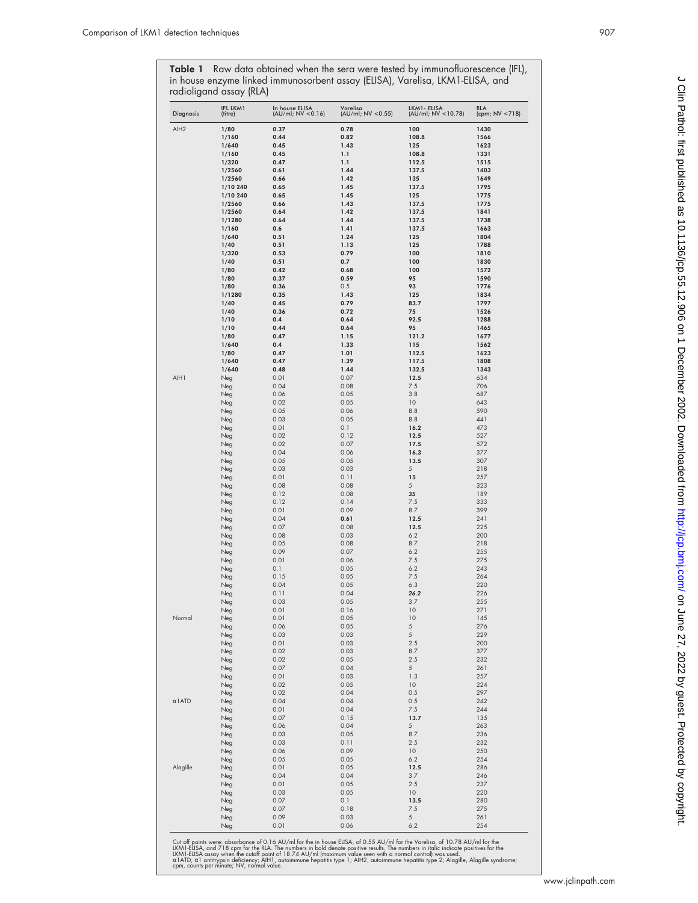**Table 1** Raw data obtained when the sera were tested by immunofluorescence (IFL), in house enzyme linked immunosorbent assay (ELISA), Varelisa, LKM1-ELISA, and radioligand assay (RLA)

| <b>Diagnosis</b> | <b>IFL LKM1</b><br>(titre) | In house ELISA<br>(AU/ml; NV < 0.16) | Varelisa<br>(AU/ml; NV <0.55) | LKM1- ELISA<br>(AU/ml; NV < 10.78) | <b>RLA</b><br>(cpm; NV <718) |
|------------------|----------------------------|--------------------------------------|-------------------------------|------------------------------------|------------------------------|
| AIH <sub>2</sub> | 1/80                       | 0.37                                 | 0.78                          | 100                                | 1430                         |
|                  | 1/160                      | 0.44                                 | 0.82                          | 108.8                              | 1566                         |
|                  | 1/640                      | 0.45                                 | 1.43                          | 125                                | 1623                         |
|                  | 1/160                      | 0.45<br>0.47                         | 1.1                           | 108.8                              | 1331                         |
|                  | 1/320<br>1/2560            | 0.61                                 | 1.1<br>1.44                   | 112.5<br>137.5                     | 1515<br>1403                 |
|                  | 1/2560                     | 0.66                                 | 1.42                          | 135                                | 1649                         |
|                  | 1/10 240                   | 0.65                                 | 1.45                          | 137.5                              | 1795                         |
|                  | 1/10 240                   | 0.65                                 | 1.45                          | 125                                | 1775                         |
|                  | 1/2560                     | 0.66                                 | 1.43                          | 137.5                              | 1775                         |
|                  | 1/2560                     | 0.64                                 | 1.42                          | 137.5                              | 1841                         |
|                  | 1/1280                     | 0.64                                 | 1.44                          | 137.5                              | 1738                         |
|                  | 1/160                      | 0.6                                  | 1.41                          | 137.5                              | 1663                         |
|                  | 1/640                      | 0.51                                 | 1.24                          | 125                                | 1804                         |
|                  | 1/40                       | 0.51                                 | 1.13                          | 125                                | 1788                         |
|                  | 1/320                      | 0.53                                 | 0.79                          | 100                                | 1810                         |
|                  | 1/40<br>1/80               | 0.51<br>0.42                         | 0.7<br>0.68                   | 100<br>100                         | 1830<br>1572                 |
|                  | 1/80                       | 0.37                                 | 0.59                          | 95                                 | 1590                         |
|                  | 1/80                       | 0.36                                 | 0.5                           | 93                                 | 1776                         |
|                  | 1/1280                     | 0.35                                 | 1.43                          | 125                                | 1834                         |
|                  | 1/40                       | 0.45                                 | 0.79                          | 83.7                               | 1797                         |
|                  | 1/40                       | 0.36                                 | 0.72                          | 75                                 | 1526                         |
|                  | 1/10                       | 0.4                                  | 0.64                          | 92.5                               | 1288                         |
|                  | 1/10                       | 0.44                                 | 0.64                          | 95                                 | 1465                         |
|                  | 1/80                       | 0.47                                 | 1.15                          | 121.2                              | 1677                         |
|                  | 1/640                      | 0.4                                  | 1.33                          | 115                                | 1562                         |
|                  | 1/80                       | 0.47                                 | 1.01                          | 112.5                              | 1623                         |
|                  | 1/640                      | 0.47                                 | 1.39                          | 117.5                              | 1808                         |
| AIH1             | 1/640                      | 0.48                                 | 1.44                          | 132.5                              | 1343                         |
|                  | Neg                        | 0.01<br>0.04                         | 0.07<br>0.08                  | 12.5<br>7.5                        | 634<br>706                   |
|                  | Neg<br>Neg                 | 0.06                                 | 0.05                          | 3.8                                | 687                          |
|                  | Neg                        | 0.02                                 | 0.05                          | 10                                 | 643                          |
|                  | Neg                        | 0.05                                 | 0.06                          | 8.8                                | 590                          |
|                  | Neg                        | 0.03                                 | 0.05                          | 8.8                                | 441                          |
|                  | Neg                        | 0.01                                 | 0.1                           | 16.2                               | 473                          |
|                  | Neg                        | 0.02                                 | 0.12                          | 12.5                               | 527                          |
|                  | Neg                        | 0.02                                 | 0.07                          | 17.5                               | 572                          |
|                  | Neg                        | 0.04                                 | 0.06                          | 16.3                               | 377                          |
|                  | Neg                        | 0.05                                 | 0.05                          | 13.5                               | 307                          |
|                  | Neg                        | 0.03                                 | 0.03                          | $\sqrt{5}$                         | 218                          |
|                  | Neg                        | 0.01                                 | 0.11                          | 15                                 | 257                          |
|                  | Neg                        | 0.08                                 | 0.08                          | 5                                  | 323                          |
|                  | Neg                        | 0.12<br>0.12                         | 0.08<br>0.14                  | 35<br>7.5                          | 189<br>333                   |
|                  | Neg<br>Neg                 | 0.01                                 | 0.09                          | 8.7                                | 399                          |
|                  | Neg                        | 0.04                                 | 0.61                          | 12.5                               | 241                          |
|                  | Neg                        | 0.07                                 | 0.08                          | 12.5                               | 225                          |
|                  | Neg                        | 0.08                                 | 0.03                          | 6.2                                | 200                          |
|                  | Neg                        | 0.05                                 | 0.08                          | 8.7                                | 218                          |
|                  | Neg                        | 0.09                                 | 0.07                          | 6.2                                | 255                          |
|                  | Neg                        | 0.01                                 | 0.06                          | 7.5                                | 275                          |
|                  | Neg                        | 0.1                                  | 0.05                          | 6.2                                | 243                          |
|                  | Neg                        | 0.15                                 | 0.05                          | 7.5                                | 264                          |
|                  | Neg                        | 0.04                                 | 0.05                          | 6.3                                | 220                          |
|                  | Neg                        | 0.11                                 | 0.04                          | 26.2                               | 226                          |
|                  | Neg                        | 0.03<br>0.01                         | 0.05<br>0.16                  | 3.7<br>10                          | 255<br>271                   |
| Normal           | Neg<br>Neg                 | 0.01                                 | 0.05                          | 10                                 | 145                          |
|                  | Neg                        | 0.06                                 | 0.05                          | $\sqrt{5}$                         | 276                          |
|                  | Neg                        | 0.03                                 | 0.03                          | $\sqrt{5}$                         | 229                          |
|                  | Neg                        | 0.01                                 | 0.03                          | 2.5                                | 200                          |
|                  | Neg                        | 0.02                                 | 0.03                          | 8.7                                | 377                          |
|                  | Neg                        | 0.02                                 | 0.05                          | 2.5                                | 232                          |
|                  | Neg                        | 0.07                                 | 0.04                          | 5                                  | 261                          |
|                  | Neg                        | 0.01                                 | 0.03                          | 1.3                                | 257                          |
|                  | Neg                        | 0.02                                 | 0.05                          | 10                                 | 224                          |
|                  | Neg                        | 0.02                                 | 0.04                          | 0.5                                | 297                          |
| $\alpha$ l ATD   | Neg                        | 0.04                                 | 0.04                          | 0.5                                | 242                          |
|                  | Neg<br>Neg                 | 0.01<br>0.07                         | 0.04<br>0.15                  | 7.5<br>13.7                        | 244<br>135                   |
|                  | Neg                        | 0.06                                 | 0.04                          | 5                                  | 263                          |
|                  | Neg                        | 0.03                                 | 0.05                          | 8.7                                | 236                          |
|                  | Neg                        | 0.03                                 | 0.11                          | 2.5                                | 232                          |
|                  | Neg                        | 0.06                                 | 0.09                          | 10                                 | 250                          |
|                  | Neg                        | 0.05                                 | 0.05                          | 6.2                                | 254                          |
| Alagille         | Neg                        | 0.01                                 | 0.05                          | 12.5                               | 286                          |
|                  | Neg                        | 0.04                                 | 0.04                          | 3.7                                | 246                          |
|                  | Neg                        | 0.01                                 | 0.05                          | 2.5                                | 237                          |
|                  | Neg                        | 0.03                                 | 0.05                          | 10                                 | 220                          |
|                  | Neg                        | 0.07                                 | 0.1                           | 13.5                               | 280                          |
|                  | Neg                        | 0.07                                 | 0.18                          | 7.5                                | 275                          |
|                  | Neg                        | 0.09                                 | 0.03                          | 5                                  | 261                          |
|                  | Neg                        | 0.01                                 | 0.06                          | 6.2                                | 254                          |

Cut off points were: absorbance of 0.16 AU/ml for the in house EUSA, of 0.55 AU/ml for the Varelisa, of 10.78 AU/ml for the<br>LKM1-EUSA, and 718 cpm for the RIA. The numbers in bold denote positive results. The numbers in it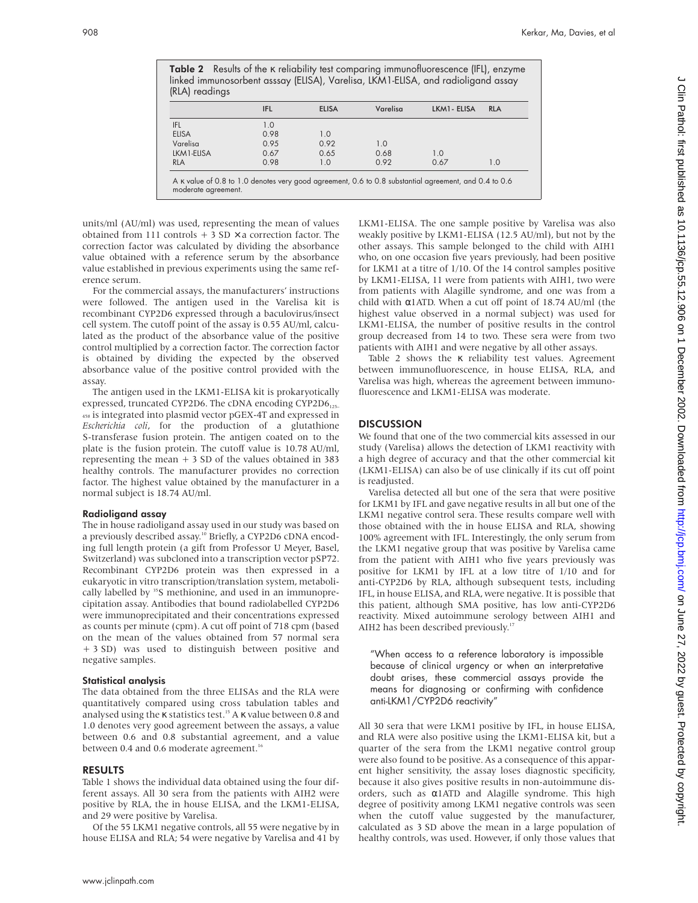|                | <b>Table 2</b> Results of the <i>K</i> reliability test comparing immunofluorescence (IFL), enzyme |
|----------------|----------------------------------------------------------------------------------------------------|
|                | linked immunosorbent asssay (ELISA), Varelisa, LKM1-ELISA, and radioligand assay                   |
| (RLA) readings |                                                                                                    |

|              | <b>IFL</b> | <b>ELISA</b> | Varelisa | LKM1 - ELISA | <b>RLA</b> |
|--------------|------------|--------------|----------|--------------|------------|
| IFL          | 1.0        |              |          |              |            |
| <b>ELISA</b> | 0.98       | 1.0          |          |              |            |
| Varelisa     | 0.95       | 0.92         | 1.0      |              |            |
| LKM1-ELISA   | 0.67       | 0.65         | 0.68     | 1.0          |            |
| <b>RLA</b>   | 0.98       | 1.0          | 0.92     | 0.67         | 1.0        |

units/ml (AU/ml) was used, representing the mean of values obtained from 111 controls  $+$  3 SD  $\times$  a correction factor. The correction factor was calculated by dividing the absorbance value obtained with a reference serum by the absorbance value established in previous experiments using the same reference serum.

moderate agreement.

For the commercial assays, the manufacturers' instructions were followed. The antigen used in the Varelisa kit is recombinant CYP2D6 expressed through a baculovirus/insect cell system. The cutoff point of the assay is 0.55 AU/ml, calculated as the product of the absorbance value of the positive control multiplied by a correction factor. The correction factor is obtained by dividing the expected by the observed absorbance value of the positive control provided with the assay.

The antigen used in the LKM1-ELISA kit is prokaryotically expressed, truncated CYP2D6. The cDNA encoding CYP2D6<sub>125-</sub> <sup>458</sup> is integrated into plasmid vector pGEX-4T and expressed in *Escherichia coli*, for the production of a glutathione S-transferase fusion protein. The antigen coated on to the plate is the fusion protein. The cutoff value is 10.78 AU/ml, representing the mean  $+3$  SD of the values obtained in 383 healthy controls. The manufacturer provides no correction factor. The highest value obtained by the manufacturer in a normal subject is 18.74 AU/ml.

## Radioligand assay

The in house radioligand assay used in our study was based on a previously described assay.<sup>10</sup> Briefly, a CYP2D6 cDNA encoding full length protein (a gift from Professor U Meyer, Basel, Switzerland) was subcloned into a transcription vector pSP72. Recombinant CYP2D6 protein was then expressed in a eukaryotic in vitro transcription/translation system, metabolically labelled by <sup>35</sup>S methionine, and used in an immunoprecipitation assay. Antibodies that bound radiolabelled CYP2D6 were immunoprecipitated and their concentrations expressed as counts per minute (cpm). A cut off point of 718 cpm (based on the mean of the values obtained from 57 normal sera + 3 SD) was used to distinguish between positive and negative samples.

## Statistical analysis

The data obtained from the three ELISAs and the RLA were quantitatively compared using cross tabulation tables and analysed using the  $\kappa$  statistics test.<sup>15</sup> A  $\kappa$  value between 0.8 and 1.0 denotes very good agreement between the assays, a value between 0.6 and 0.8 substantial agreement, and a value between 0.4 and 0.6 moderate agreement.<sup>16</sup>

#### RESULTS

Table 1 shows the individual data obtained using the four different assays. All 30 sera from the patients with AIH2 were positive by RLA, the in house ELISA, and the LKM1-ELISA, and 29 were positive by Varelisa.

Of the 55 LKM1 negative controls, all 55 were negative by in house ELISA and RLA; 54 were negative by Varelisa and 41 by

LKM1-ELISA. The one sample positive by Varelisa was also weakly positive by LKM1-ELISA (12.5 AU/ml), but not by the other assays. This sample belonged to the child with AIH1 who, on one occasion five years previously, had been positive for LKM1 at a titre of 1/10. Of the 14 control samples positive by LKM1-ELISA, 11 were from patients with AIH1, two were from patients with Alagille syndrome, and one was from a child with α1ATD. When a cut off point of 18.74 AU/ml (the highest value observed in a normal subject) was used for LKM1-ELISA, the number of positive results in the control group decreased from 14 to two. These sera were from two patients with AIH1 and were negative by all other assays.

Table 2 shows the κ reliability test values. Agreement between immunofluorescence, in house ELISA, RLA, and Varelisa was high, whereas the agreement between immunofluorescence and LKM1-ELISA was moderate.

# **DISCUSSION**

We found that one of the two commercial kits assessed in our study (Varelisa) allows the detection of LKM1 reactivity with a high degree of accuracy and that the other commercial kit (LKM1-ELISA) can also be of use clinically if its cut off point is readjusted.

Varelisa detected all but one of the sera that were positive for LKM1 by IFL and gave negative results in all but one of the LKM1 negative control sera. These results compare well with those obtained with the in house ELISA and RLA, showing 100% agreement with IFL. Interestingly, the only serum from the LKM1 negative group that was positive by Varelisa came from the patient with AIH1 who five years previously was positive for LKM1 by IFL at a low titre of 1/10 and for anti-CYP2D6 by RLA, although subsequent tests, including IFL, in house ELISA, and RLA, were negative. It is possible that this patient, although SMA positive, has low anti-CYP2D6 reactivity. Mixed autoimmune serology between AIH1 and AIH2 has been described previously.<sup>17</sup>

"When access to a reference laboratory is impossible because of clinical urgency or when an interpretative doubt arises, these commercial assays provide the means for diagnosing or confirming with confidence anti-LKM1/CYP2D6 reactivity"

All 30 sera that were LKM1 positive by IFL, in house ELISA, and RLA were also positive using the LKM1-ELISA kit, but a quarter of the sera from the LKM1 negative control group were also found to be positive. As a consequence of this apparent higher sensitivity, the assay loses diagnostic specificity, because it also gives positive results in non-autoimmune disorders, such as α1ATD and Alagille syndrome. This high degree of positivity among LKM1 negative controls was seen when the cutoff value suggested by the manufacturer, calculated as 3 SD above the mean in a large population of healthy controls, was used. However, if only those values that